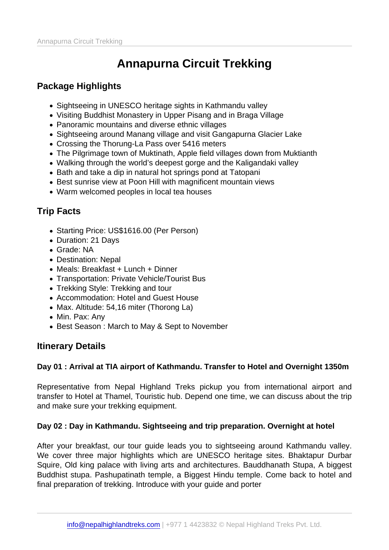# Annapurna Circuit Trekking

## Package Highlights

- Sightseeing in UNESCO heritage sights in Kathmandu valley
- Visiting Buddhist Monastery in Upper Pisang and in Braga Village
- Panoramic mountains and diverse ethnic villages
- Sightseeing around Manang village and visit Gangapurna Glacier Lake
- Crossing the Thorung-La Pass over 5416 meters
- The Pilgrimage town of Muktinath, Apple field villages down from Muktianth
- Walking through the world's deepest gorge and the Kaligandaki valley
- Bath and take a dip in natural hot springs pond at Tatopani
- Best sunrise view at Poon Hill with magnificent mountain views
- Warm welcomed peoples in local tea houses

# Trip Facts

- Starting Price: US\$1616.00 (Per Person)
- Duration: 21 Days
- Grade: NA
- Destination: Nepal
- Meals: Breakfast + Lunch + Dinner
- Transportation: Private Vehicle/Tourist Bus
- Trekking Style: Trekking and tour
- Accommodation: Hotel and Guest House
- Max. Altitude: 54,16 miter (Thorong La)
- Min. Pax: Any
- Best Season: March to May & Sept to November

## Itinerary Details

Day 01 : Arrival at TIA airport of Kathmandu. Transfer to Hotel and Overnight 1350m

Representative from Nepal Highland Treks pickup you from international airport and transfer to Hotel at Thamel, Touristic hub. Depend one time, we can discuss about the trip and make sure your trekking equipment.

Day 02 : Day in Kathmandu. Sightseeing and trip preparation. Overnight at hotel

After your breakfast, our tour guide leads you to sightseeing around Kathmandu valley. We cover three major highlights which are UNESCO heritage sites. Bhaktapur Durbar Squire, Old king palace with living arts and architectures. Bauddhanath Stupa, A biggest Buddhist stupa. Pashupatinath temple, a Biggest Hindu temple. Come back to hotel and final preparation of trekking. Introduce with your guide and porter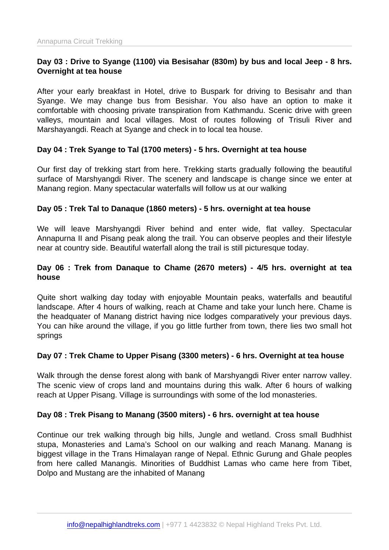Day 03 : Drive to Syange (1100) via Besisahar (830m) by bus and local Jeep - 8 hrs. Overnight at tea house

After your early breakfast in Hotel, drive to Buspark for driving to Besisahr and than Syange. We may change bus from Besishar. You also have an option to make it comfortable with choosing private transpiration from Kathmandu. Scenic drive with green valleys, mountain and local villages. Most of routes following of Trisuli River and Marshayangdi. Reach at Syange and check in to local tea house.

Day 04 : Trek Syange to Tal (1700 meters) - 5 hrs. Overnight at tea house

Our first day of trekking start from here. Trekking starts gradually following the beautiful surface of Marshyangdi River. The scenery and landscape is change since we enter at Manang region. Many spectacular waterfalls will follow us at our walking

Day 05 : Trek Tal to Danaque (1860 meters) - 5 hrs. overnight at tea house

We will leave Marshyangdi River behind and enter wide, flat valley. Spectacular Annapurna II and Pisang peak along the trail. You can observe peoples and their lifestyle near at country side. Beautiful waterfall along the trail is still picturesque today.

Day 06 : Trek from Danaque to Chame (2670 meters) - 4/5 hrs. overnight at tea house

Quite short walking day today with enjoyable Mountain peaks, waterfalls and beautiful landscape. After 4 hours of walking, reach at Chame and take your lunch here. Chame is the headquater of Manang district having nice lodges comparatively your previous days. You can hike around the village, if you go little further from town, there lies two small hot springs

Day 07 : Trek Chame to Upper Pisang (3300 meters) - 6 hrs. Overnight at tea house

Walk through the dense forest along with bank of Marshyangdi River enter narrow valley. The scenic view of crops land and mountains during this walk. After 6 hours of walking reach at Upper Pisang. Village is surroundings with some of the lod monasteries.

Day 08 : Trek Pisang to Manang (3500 miters) - 6 hrs. overnight at tea house

Continue our trek walking through big hills, Jungle and wetland. Cross small Budhhist stupa, Monasteries and Lama's School on our walking and reach Manang. Manang is biggest village in the Trans Himalayan range of Nepal. Ethnic Gurung and Ghale peoples from here called Manangis. Minorities of Buddhist Lamas who came here from Tibet, Dolpo and Mustang are the inhabited of Manang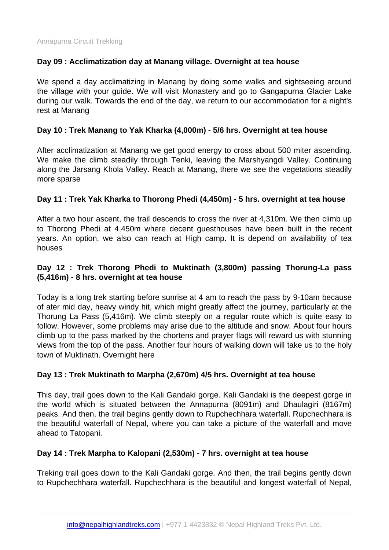#### Day 09 : Acclimatization day at Manang village. Overnight at tea house

We spend a day acclimatizing in Manang by doing some walks and sightseeing around the village with your guide. We will visit Monastery and go to Gangapurna Glacier Lake during our walk. Towards the end of the day, we return to our accommodation for a night's rest at Manang

Day 10 : Trek Manang to Yak Kharka (4,000m) - 5/6 hrs. Overnight at tea house

After acclimatization at Manang we get good energy to cross about 500 miter ascending. We make the climb steadily through Tenki, leaving the Marshyangdi Valley. Continuing along the Jarsang Khola Valley. Reach at Manang, there we see the vegetations steadily more sparse

Day 11 : Trek Yak Kharka to Thorong Phedi (4,450m) - 5 hrs. overnight at tea house

After a two hour ascent, the trail descends to cross the river at 4,310m. We then climb up to Thorong Phedi at 4,450m where decent guesthouses have been built in the recent years. An option, we also can reach at High camp. It is depend on availability of tea houses

Day 12 : Trek Thorong Phedi to Muktinath (3,800m) passing Thorung-La pass (5,416m) - 8 hrs. overnight at tea house

Today is a long trek starting before sunrise at 4 am to reach the pass by 9-10am because of ater mid day, heavy windy hit, which might greatly affect the journey, particularly at the Thorung La Pass (5,416m). We climb steeply on a regular route which is quite easy to follow. However, some problems may arise due to the altitude and snow. About four hours climb up to the pass marked by the chortens and prayer flags will reward us with stunning views from the top of the pass. Another four hours of walking down will take us to the holy town of Muktinath. Overnight here

Day 13 : Trek Muktinath to Marpha (2,670m) 4/5 hrs. Overnight at tea house

This day, trail goes down to the Kali Gandaki gorge. Kali Gandaki is the deepest gorge in the world which is situated between the Annapurna (8091m) and Dhaulagiri (8167m) peaks. And then, the trail begins gently down to Rupchechhara waterfall. Rupchechhara is the beautiful waterfall of Nepal, where you can take a picture of the waterfall and move ahead to Tatopani.

Day 14 : Trek Marpha to Kalopani (2,530m) - 7 hrs. overnight at tea house

Treking trail goes down to the Kali Gandaki gorge. And then, the trail begins gently down to Rupchechhara waterfall. Rupchechhara is the beautiful and longest waterfall of Nepal,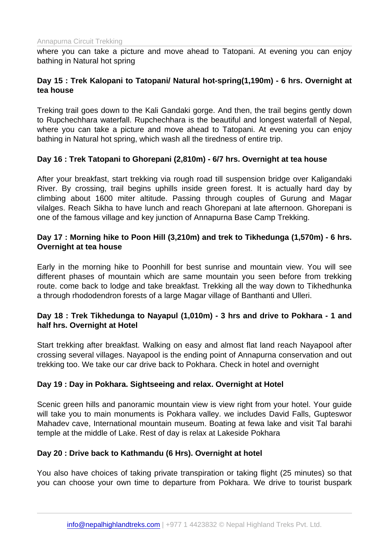where you can take a picture and move ahead to Tatopani. At evening you can enjoy bathing in Natural hot spring

Day 15 : Trek Kalopani to Tatopani/ Natural hot-spring(1,190m) - 6 hrs. Overnight at tea house

Treking trail goes down to the Kali Gandaki gorge. And then, the trail begins gently down to Rupchechhara waterfall. Rupchechhara is the beautiful and longest waterfall of Nepal, where you can take a picture and move ahead to Tatopani. At evening you can enjoy bathing in Natural hot spring, which wash all the tiredness of entire trip.

Day 16 : Trek Tatopani to Ghorepani (2,810m) - 6/7 hrs. Overnight at tea house

After your breakfast, start trekking via rough road till suspension bridge over Kaligandaki River. By crossing, trail begins uphills inside green forest. It is actually hard day by climbing about 1600 miter altitude. Passing through couples of Gurung and Magar vilalges. Reach Sikha to have lunch and reach Ghorepani at late afternoon. Ghorepani is one of the famous village and key junction of Annapurna Base Camp Trekking.

Day 17 : Morning hike to Poon Hill (3,210m) and trek to Tikhedunga (1,570m) - 6 hrs. Overnight at tea house

Early in the morning hike to Poonhill for best sunrise and mountain view. You will see different phases of mountain which are same mountain you seen before from trekking route. come back to lodge and take breakfast. Trekking all the way down to Tikhedhunka a through rhododendron forests of a large Magar village of Banthanti and Ulleri.

Day 18 : Trek Tikhedunga to Nayapul (1,010m) - 3 hrs and drive to Pokhara - 1 and half hrs. Overnight at Hotel

Start trekking after breakfast. Walking on easy and almost flat land reach Nayapool after crossing several villages. Nayapool is the ending point of Annapurna conservation and out trekking too. We take our car drive back to Pokhara. Check in hotel and overnight

Day 19 : Day in Pokhara. Sightseeing and relax. Overnight at Hotel

Scenic green hills and panoramic mountain view is view right from your hotel. Your guide will take you to main monuments is Pokhara valley. we includes David Falls, Gupteswor Mahadev cave, International mountain museum. Boating at fewa lake and visit Tal barahi temple at the middle of Lake. Rest of day is relax at Lakeside Pokhara

Day 20 : Drive back to Kathmandu (6 Hrs). Overnight at hotel

You also have choices of taking private transpiration or taking flight (25 minutes) so that you can choose your own time to departure from Pokhara. We drive to tourist buspark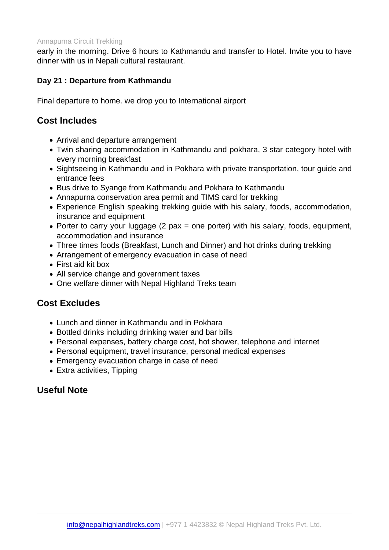early in the morning. Drive 6 hours to Kathmandu and transfer to Hotel. Invite you to have dinner with us in Nepali cultural restaurant.

#### Day 21 : Departure from Kathmandu

Final departure to home. we drop you to International airport

#### Cost Includes

- Arrival and departure arrangement
- Twin sharing accommodation in Kathmandu and pokhara, 3 star category hotel with every morning breakfast
- Sightseeing in Kathmandu and in Pokhara with private transportation, tour guide and entrance fees
- Bus drive to Syange from Kathmandu and Pokhara to Kathmandu
- Annapurna conservation area permit and TIMS card for trekking
- Experience English speaking trekking guide with his salary, foods, accommodation, insurance and equipment
- Porter to carry your luggage  $(2 \text{ pax} = \text{one} \text{ porter})$  with his salary, foods, equipment, accommodation and insurance
- Three times foods (Breakfast, Lunch and Dinner) and hot drinks during trekking
- Arrangement of emergency evacuation in case of need
- First aid kit box
- All service change and government taxes
- One welfare dinner with Nepal Highland Treks team

#### Cost Excludes

- Lunch and dinner in Kathmandu and in Pokhara
- Bottled drinks including drinking water and bar bills
- Personal expenses, battery charge cost, hot shower, telephone and internet
- Personal equipment, travel insurance, personal medical expenses
- Emergency evacuation charge in case of need
- Extra activities, Tipping

## Useful Note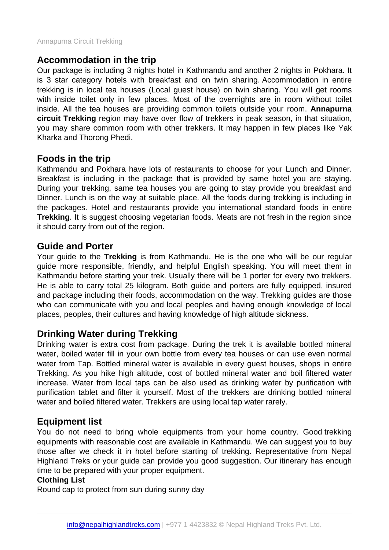## Accommodation in the trip

Our package is including 3 nights hotel in Kathmandu and another 2 nights in Pokhara. It is 3 star category hotels with breakfast and on twin sharing. Accommodation in entire trekking is in local tea houses (Local guest house) on twin sharing. You will get rooms with inside toilet only in few places. Most of the overnights are in room without toilet inside. All the tea houses are providing common toilets outside your room. Annapurna circuit Trekking region may have over flow of trekkers in peak season, in that situation, you may share common room with other trekkers. It may happen in few places like Yak Kharka and Thorong Phedi.

#### Foods in the trip

Kathmandu and Pokhara have lots of restaurants to choose for your Lunch and Dinner. Breakfast is including in the package that is provided by same hotel you are staying. During your trekking, same tea houses you are going to stay provide you breakfast and Dinner. Lunch is on the way at suitable place. All the foods during trekking is including in the packages. Hotel and restaurants provide you international standard foods in entire Trekking . It is suggest choosing vegetarian foods. Meats are not fresh in the region since it should carry from out of the region.

#### Guide and Porter

Your guide to the Trekking is from Kathmandu. He is the one who will be our regular guide more responsible, friendly, and helpful English speaking. You will meet them in Kathmandu before starting your trek. Usually there will be 1 porter for every two trekkers. He is able to carry total 25 kilogram. Both guide and porters are fully equipped, insured and package including their foods, accommodation on the way. Trekking guides are those who can communicate with you and local peoples and having enough knowledge of local places, peoples, their cultures and having knowledge of high altitude sickness.

#### Drinking Water during Trekking

Drinking water is extra cost from package. During the trek it is available bottled mineral water, boiled water fill in your own bottle from every tea houses or can use even normal water from Tap. Bottled mineral water is available in every guest houses, shops in entire Trekking. As you hike high altitude, cost of bottled mineral water and boil filtered water increase. Water from local taps can be also used as drinking water by purification with purification tablet and filter it yourself. Most of the trekkers are drinking bottled mineral water and boiled filtered water. Trekkers are using local tap water rarely.

#### Equipment list

You do not need to bring whole equipments from your home country. Good trekking equipments with reasonable cost are available in Kathmandu. We can suggest you to buy those after we check it in hotel before starting of trekking. Representative from Nepal Highland Treks or your guide can provide you good suggestion. Our itinerary has enough time to be prepared with your proper equipment.

#### Clothing List

Round cap to protect from sun during sunny day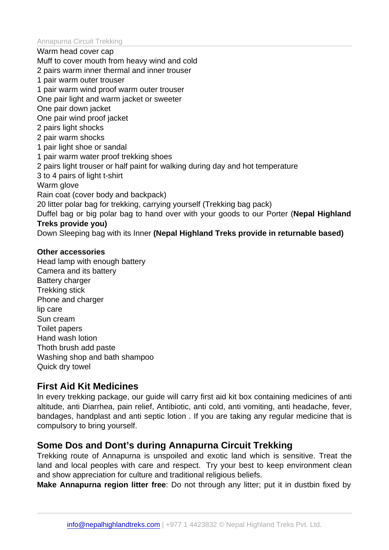Warm head cover cap

Muff to cover mouth from heavy wind and cold

2 pairs warm inner thermal and inner trouser

1 pair warm outer trouser

1 pair warm wind proof warm outer trouser

One pair light and warm jacket or sweeter

One pair down jacket

One pair wind proof jacket

2 pairs light shocks

2 pair warm shocks

1 pair light shoe or sandal

1 pair warm water proof trekking shoes

2 pairs light trouser or half paint for walking during day and hot temperature

3 to 4 pairs of light t-shirt

Warm glove

Rain coat (cover body and backpack)

20 litter polar bag for trekking, carrying yourself (Trekking bag pack)

Duffel bag or big polar bag to hand over with your goods to our Porter (Nepal Highland Treks provide you)

Down Sleeping bag with its Inner (Nepal Highland Treks provide in returnable based)

Other accessories Head lamp with enough battery Camera and its battery Battery charger Trekking stick Phone and charger lip care Sun cream Toilet papers Hand wash lotion Thoth brush add paste Washing shop and bath shampoo Quick dry towel

#### First Aid Kit Medicines

In every trekking package, our guide will carry first aid kit box containing medicines of anti altitude, anti Diarrhea, pain relief, Antibiotic, anti cold, anti vomiting, anti headache, fever, bandages, handplast and anti septic lotion . If you are taking any regular medicine that is compulsory to bring yourself.

## Some Dos and Dont's during Annapurna Circuit Trekking

Trekking route of Annapurna is unspoiled and exotic land which is sensitive. Treat the land and local peoples with care and respect. Try your best to keep environment clean and show appreciation for culture and traditional religious beliefs.

Make Annapurna region litter free : Do not through any litter; put it in dustbin fixed by